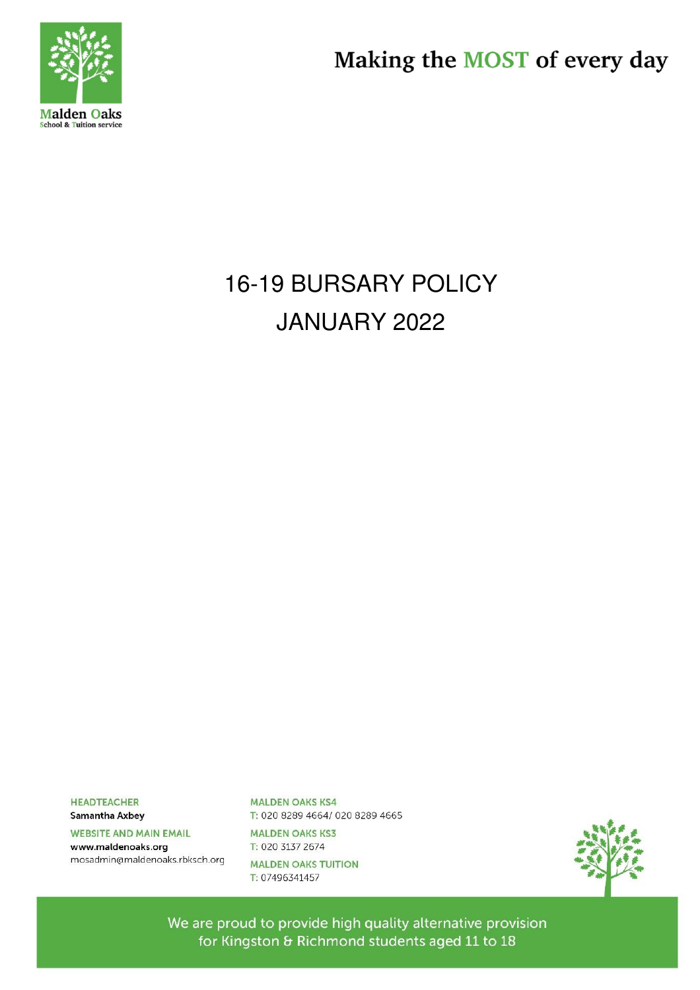

Making the MOST of every day

# **16-19 BURSARY POLICY** JANUARY 2022

**HEADTEACHER** 

Samantha Axbey

**WEBSITE AND MAIN EMAIL** 

www.maldenoaks.org mosadmin@maldenoaks.rbksch.org **MALDEN OAKS KS4** T: 020 8289 4664/ 020 8289 4665

**MALDEN OAKS KS3** T: 020 3137 2674 **MALDEN OAKS TUITION** T: 07496341457

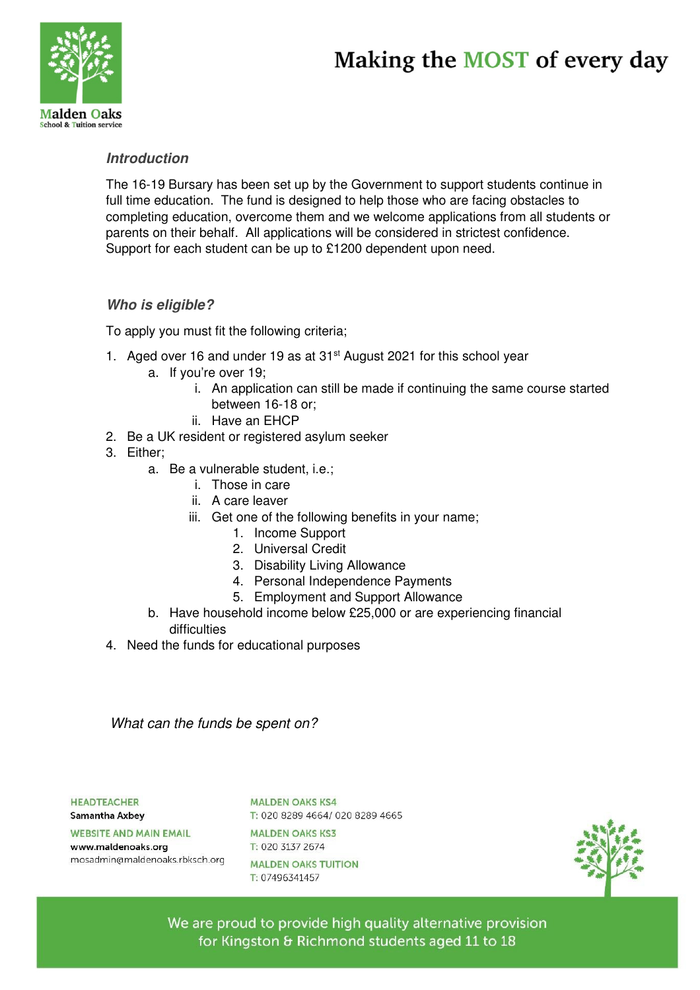## Making the MOST of every day



### **Introduction**

The 16-19 Bursary has been set up by the Government to support students continue in full time education. The fund is designed to help those who are facing obstacles to completing education, overcome them and we welcome applications from all students or parents on their behalf. All applications will be considered in strictest confidence. Support for each student can be up to £1200 dependent upon need.

### **Who is eligible?**

To apply you must fit the following criteria;

- 1. Aged over 16 and under 19 as at 31<sup>st</sup> August 2021 for this school year
	- a. If you're over 19;
		- i. An application can still be made if continuing the same course started between 16-18 or;
		- ii. Have an EHCP
- 2. Be a UK resident or registered asylum seeker
- 3. Either;
	- a. Be a vulnerable student, i.e.;
		- i. Those in care
		- ii. A care leaver
		- iii. Get one of the following benefits in your name;
			- 1. Income Support
			- 2. Universal Credit
			- 3. Disability Living Allowance
			- 4. Personal Independence Payments
			- 5. Employment and Support Allowance
	- b. Have household income below £25,000 or are experiencing financial difficulties
- 4. Need the funds for educational purposes

What can the funds be spent on?

#### **HEADTEACHER**

Samantha Axbey

#### **WEBSITE AND MAIN EMAIL**

www.maldenoaks.org mosadmin@maldenoaks.rbksch.org **MALDEN OAKS KS4** T: 020 8289 4664/ 020 8289 4665

**MALDEN OAKS KS3** T: 020 3137 2674 **MALDEN OAKS TUITION** T: 07496341457

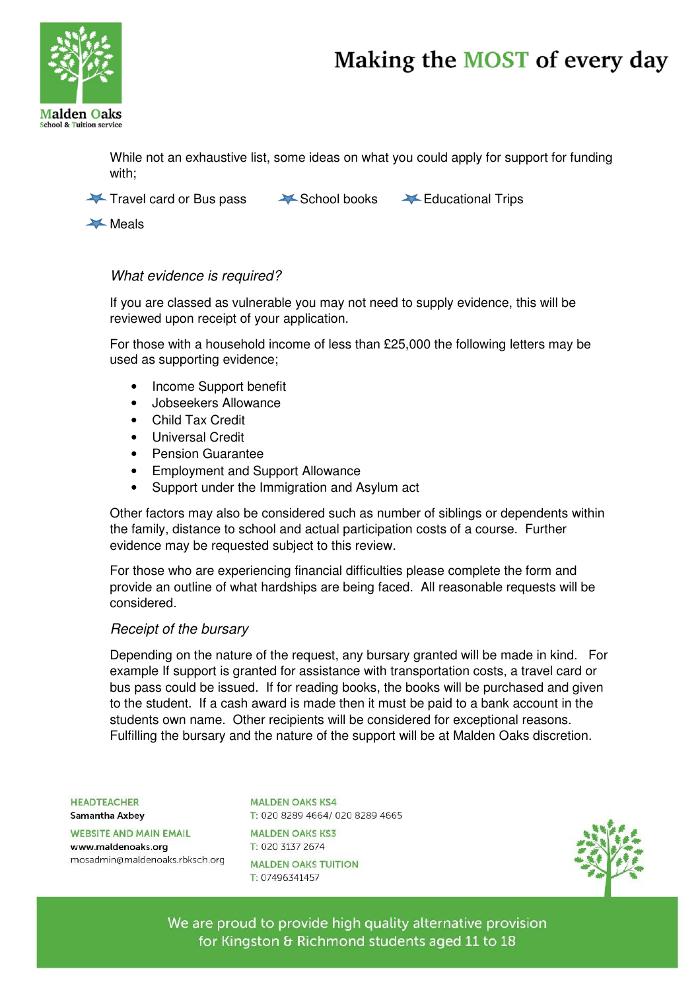## Making the MOST of every day



While not an exhaustive list, some ideas on what you could apply for support for funding with;

Travel card or Bus pass ASchool books A Educational Trips

**Meals** 

### What evidence is required?

If you are classed as vulnerable you may not need to supply evidence, this will be reviewed upon receipt of your application.

For those with a household income of less than £25,000 the following letters may be used as supporting evidence;

- Income Support benefit
- Jobseekers Allowance
- Child Tax Credit
- Universal Credit
- Pension Guarantee
- Employment and Support Allowance
- Support under the Immigration and Asylum act

Other factors may also be considered such as number of siblings or dependents within the family, distance to school and actual participation costs of a course. Further evidence may be requested subject to this review.

For those who are experiencing financial difficulties please complete the form and provide an outline of what hardships are being faced. All reasonable requests will be considered.

### Receipt of the bursary

Depending on the nature of the request, any bursary granted will be made in kind. For example If support is granted for assistance with transportation costs, a travel card or bus pass could be issued. If for reading books, the books will be purchased and given to the student. If a cash award is made then it must be paid to a bank account in the students own name. Other recipients will be considered for exceptional reasons. Fulfilling the bursary and the nature of the support will be at Malden Oaks discretion.

**HEADTFACHER** 

Samantha Axbey

**WEBSITE AND MAIN EMAIL** 

www.maldenoaks.org mosadmin@maldenoaks.rbksch.org

**MALDEN OAKS KS4** T: 020 8289 4664/ 020 8289 4665

**MALDEN OAKS KS3** T: 020 3137 2674 **MALDEN OAKS TUITION** T: 07496341457